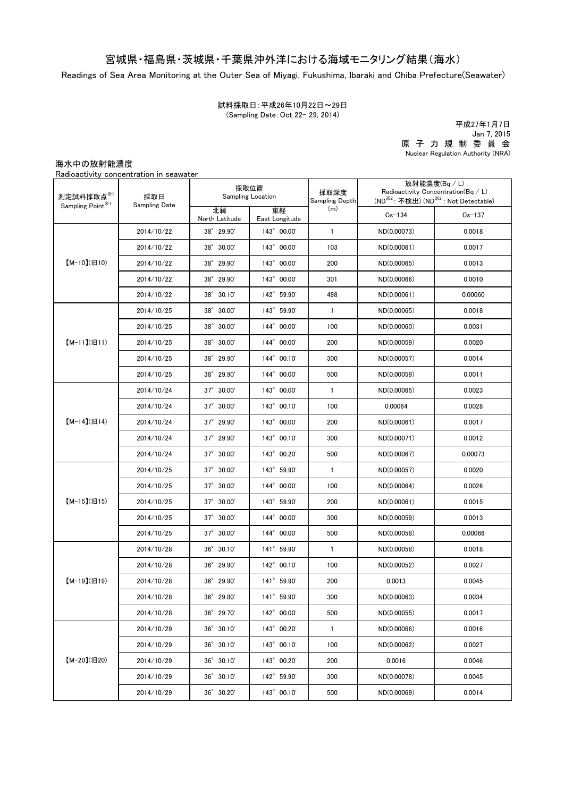## 宮城県・福島県・茨城県・千葉県沖外洋における海域モニタリング結果(海水)

Readings of Sea Area Monitoring at the Outer Sea of Miyagi, Fukushima, Ibaraki and Chiba Prefecture(Seawater)

試料採取日:平成26年10月22日~29日 (Sampling Date:Oct 22- 29, 2014)

原 子 力 規 制 委 員 会 Nuclear Regulation Authority (NRA) 平成27年1月7日 Jan 7, 2015

海水中の放射能濃度

Radioactivity concentration in seawater

| 測定試料採取点※1<br>Sampling Point <sup>※1</sup> | 採取日<br>Sampling Date | 採取位置<br>Sampling Location |                      | 採取深度<br>Sampling Depth | 放射能濃度(Bq / L)<br>Radioactivity Concentration( $Bq / L$ )<br>(ND <sup>※2</sup> : 不検出) (ND <sup>※2</sup> : Not Detectable) |            |
|-------------------------------------------|----------------------|---------------------------|----------------------|------------------------|--------------------------------------------------------------------------------------------------------------------------|------------|
|                                           |                      | 北緯<br>North Latitude      | 東経<br>East Longitude | (m)                    | $Cs - 134$                                                                                                               | $Cs - 137$ |
| $[M-10](H10)$                             | 2014/10/22           | 38° 29.90'                | 143° 00.00'          | $\mathbf{1}$           | ND(0.00073)                                                                                                              | 0.0018     |
|                                           | 2014/10/22           | 38° 30.00'                | 143° 00.00'          | 103                    | ND(0.00061)                                                                                                              | 0.0017     |
|                                           | 2014/10/22           | 38° 29.90'                | 143° 00.00'          | 200                    | ND(0.00065)                                                                                                              | 0.0013     |
|                                           | 2014/10/22           | 38° 29.90'                | 143° 00.00'          | 301                    | ND(0.00066)                                                                                                              | 0.0010     |
|                                           | 2014/10/22           | 38° 30.10'                | 142° 59.90'          | 498                    | ND(0.00061)                                                                                                              | 0.00060    |
| $[M-11](H11)$                             | 2014/10/25           | 38° 30.00'                | 143° 59.90'          | $\mathbf{1}$           | ND(0.00065)                                                                                                              | 0.0018     |
|                                           | 2014/10/25           | 38° 30.00'                | 144° 00.00'          | 100                    | ND(0.00060)                                                                                                              | 0.0031     |
|                                           | 2014/10/25           | 38° 30.00'                | 144° 00.00'          | 200                    | ND(0.00059)                                                                                                              | 0.0020     |
|                                           | 2014/10/25           | 38° 29.90'                | 144° 00.10'          | 300                    | ND(0.00057)                                                                                                              | 0.0014     |
|                                           | 2014/10/25           | 38° 29.90'                | 144° 00.00'          | 500                    | ND(0.00059)                                                                                                              | 0.0011     |
|                                           | 2014/10/24           | $37^{\circ}$ 30.00'       | 143° 00.00'          | $\mathbf{1}$           | ND(0.00065)                                                                                                              | 0.0023     |
|                                           | 2014/10/24           | 37° 30.00'                | 143° 00.10'          | 100                    | 0.00064                                                                                                                  | 0.0028     |
| $[M-14]( H14)$                            | 2014/10/24           | $37^{\circ}$ 29.90'       | 143° 00.00'          | 200                    | ND(0.00061)                                                                                                              | 0.0017     |
|                                           | 2014/10/24           | $37^{\circ}$ 29.90'       | 143° 00.10'          | 300                    | ND(0.00071)                                                                                                              | 0.0012     |
|                                           | 2014/10/24           | $37^{\circ}$ 30.00'       | 143° 00.20'          | 500                    | ND(0.00067)                                                                                                              | 0.00073    |
| $[M-15](H15)$                             | 2014/10/25           | $37^{\circ}$ 30.00'       | 143° 59.90'          | 1                      | ND(0.00057)                                                                                                              | 0.0020     |
|                                           | 2014/10/25           | 37° 30.00'                | 144° 00.00'          | 100                    | ND(0.00064)                                                                                                              | 0.0026     |
|                                           | 2014/10/25           | $37^{\circ}$ 30.00'       | 143° 59.90'          | 200                    | ND(0.00061)                                                                                                              | 0.0015     |
|                                           | 2014/10/25           | $37^{\circ}$ 30.00'       | 144° 00.00'          | 300                    | ND(0.00059)                                                                                                              | 0.0013     |
|                                           | 2014/10/25           | $37^{\circ}$ 30.00'       | 144° 00.00'          | 500                    | ND(0.00058)                                                                                                              | 0.00066    |
| $[M-19](H19)$                             | 2014/10/28           | $36^{\circ}$ 30.10'       | 141° 59.90'          | $\mathbf{1}$           | ND(0.00058)                                                                                                              | 0.0018     |
|                                           | 2014/10/28           | 36° 29.90'                | 142° 00.10'          | 100                    | ND(0.00052)                                                                                                              | 0.0027     |
|                                           | 2014/10/28           | 36° 29.90'                | 141° 59.90'          | 200                    | 0.0013                                                                                                                   | 0.0045     |
|                                           | 2014/10/28           | 36° 29.80'                | 141° 59.90'          | 300                    | ND(0.00063)                                                                                                              | 0.0034     |
|                                           | 2014/10/28           | 36° 29.70'                | 142° 00.00'          | 500                    | ND(0.00055)                                                                                                              | 0.0017     |
| $[M-20](H20)$                             | 2014/10/29           | 36° 30.10'                | 143° 00.20'          | $\mathbf{1}$           | ND(0.00066)                                                                                                              | 0.0016     |
|                                           | 2014/10/29           | $36^{\circ}$ 30.10'       | 143° 00.10'          | 100                    | ND(0.00062)                                                                                                              | 0.0027     |
|                                           | 2014/10/29           | 36° 30.10'                | 143° 00.20'          | 200                    | 0.0016                                                                                                                   | 0.0046     |
|                                           | 2014/10/29           | $36^{\circ}$ 30.10'       | 142° 59.90'          | 300                    | ND(0.00078)                                                                                                              | 0.0045     |
|                                           | 2014/10/29           | 36° 30.20'                | 143° 00.10'          | 500                    | ND(0.00069)                                                                                                              | 0.0014     |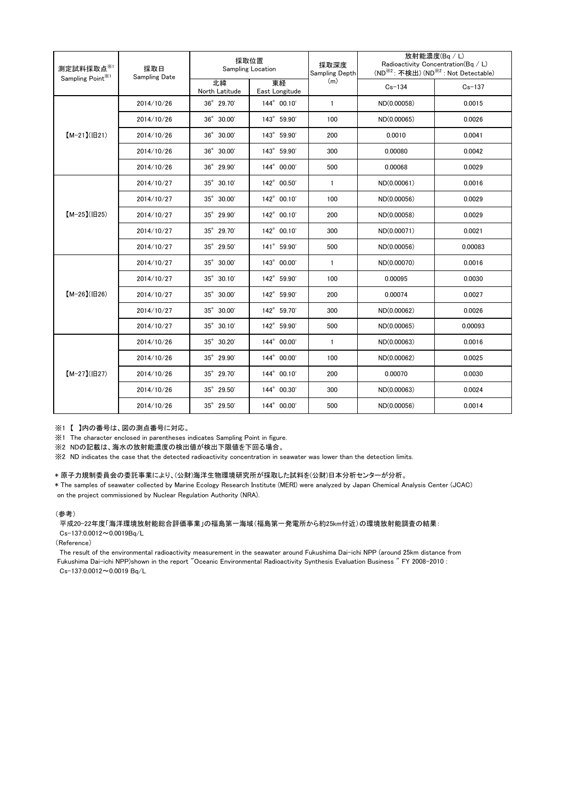| 測定試料採取点※1<br>Sampling Point <sup>※1</sup> | 採取日<br><b>Sampling Date</b> | 採取位置<br>Sampling Location |                      | 採取深度<br>Sampling Depth | 放射能濃度(Bq/L)<br>Radioactivity Concentration(Bq / L)<br>(ND <sup>※2</sup> : 不検出) (ND <sup>※2</sup> : Not Detectable) |            |
|-------------------------------------------|-----------------------------|---------------------------|----------------------|------------------------|--------------------------------------------------------------------------------------------------------------------|------------|
|                                           |                             | 北緯<br>North Latitude      | 東経<br>East Longitude | (m)                    | $Cs - 134$                                                                                                         | $Cs - 137$ |
| $[M-21](H21)$                             | 2014/10/26                  | 36° 29.70'                | 144° 00.10'          | $\mathbf{1}$           | ND(0.00058)                                                                                                        | 0.0015     |
|                                           | 2014/10/26                  | 36° 30.00'                | 143° 59.90'          | 100                    | ND(0.00065)                                                                                                        | 0.0026     |
|                                           | 2014/10/26                  | 36° 30.00'                | 143° 59.90'          | 200                    | 0.0010                                                                                                             | 0.0041     |
|                                           | 2014/10/26                  | 36° 30.00'                | 143° 59.90'          | 300                    | 0.00080                                                                                                            | 0.0042     |
|                                           | 2014/10/26                  | 36° 29.90'                | 144° 00.00'          | 500                    | 0.00068                                                                                                            | 0.0029     |
| $[M-25]( E25)$                            | 2014/10/27                  | 35° 30.10'                | 142° 00.50'          | $\mathbf{1}$           | ND(0.00061)                                                                                                        | 0.0016     |
|                                           | 2014/10/27                  | 35° 30.00'                | 142° 00.10'          | 100                    | ND(0.00056)                                                                                                        | 0.0029     |
|                                           | 2014/10/27                  | 35° 29.90'                | 142° 00.10'          | 200                    | ND(0.00058)                                                                                                        | 0.0029     |
|                                           | 2014/10/27                  | 35° 29.70'                | 142° 00.10'          | 300                    | ND(0.00071)                                                                                                        | 0.0021     |
|                                           | 2014/10/27                  | 35° 29.50'                | 141° 59.90'          | 500                    | ND(0.00056)                                                                                                        | 0.00083    |
| $[M-26](H26)$                             | 2014/10/27                  | 35° 30.00'                | 143° 00.00'          | $\mathbf{1}$           | ND(0.00070)                                                                                                        | 0.0016     |
|                                           | 2014/10/27                  | $35^{\circ}$ 30.10'       | 142° 59.90'          | 100                    | 0.00095                                                                                                            | 0.0030     |
|                                           | 2014/10/27                  | 35° 30.00'                | 142° 59.90'          | 200                    | 0.00074                                                                                                            | 0.0027     |
|                                           | 2014/10/27                  | 35° 30.00'                | 142° 59.70'          | 300                    | ND(0.00062)                                                                                                        | 0.0026     |
|                                           | 2014/10/27                  | 35° 30.10'                | 142° 59.90'          | 500                    | ND(0.00065)                                                                                                        | 0.00093    |
| $[M-27](B27)$                             | 2014/10/26                  | 35° 30.20'                | 144° 00.00'          | $\mathbf{1}$           | ND(0.00063)                                                                                                        | 0.0016     |
|                                           | 2014/10/26                  | 35° 29.90'                | 144° 00.00'          | 100                    | ND(0.00062)                                                                                                        | 0.0025     |
|                                           | 2014/10/26                  | 35° 29.70'                | 144° 00.10'          | 200                    | 0.00070                                                                                                            | 0.0030     |
|                                           | 2014/10/26                  | 35° 29.50'                | 144° 00.30'          | 300                    | ND(0.00063)                                                                                                        | 0.0024     |
|                                           | 2014/10/26                  | 35° 29.50'                | 144° 00.00'          | 500                    | ND(0.00056)                                                                                                        | 0.0014     |

※1 【 】内の番号は、図の測点番号に対応。

※1 The character enclosed in parentheses indicates Sampling Point in figure.

...<br>※2 NDの記載は、海水の放射能濃度の検出値が検出下限値を下回る場合。

※2 ND indicates the case that the detected radioactivity concentration in seawater was lower than the detection limits.

## \* 原子力規制委員会の委託事業により、(公財)海洋生物環境研究所が採取した試料を(公財)日本分析センターが分析。

on the project commissioned by Nuclear Regulation Authority (NRA). \* The samples of seawater collected by Marine Ecology Research Institute (MERI) were analyzed by Japan Chemical Analysis Center (JCAC)

## (参考)

平成20-22年度「海洋環境放射能総合評価事業」の福島第一海域(福島第一発電所から約25km付近)の環境放射能調査の結果: Cs-137:0.0012~0.0019Bq/L

(Reference)

The result of the environmental radioactivity measurement in the seawater around Fukushima Dai-ichi NPP (around 25km distance from Fukushima Dai-ichi NPP)shown in the report "Oceanic Environmental Radioactivity Synthesis Evaluation Business " FY 2008-2010 : Cs-137:0.0012~0.0019 Bq/L